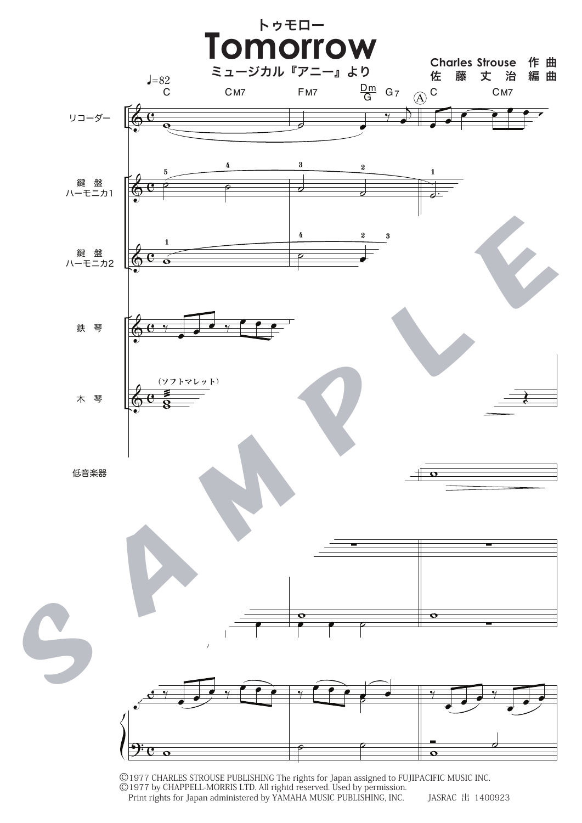

©1977 CHARLES STROUSE PUBLISHING The rights for Japan assigned to FUJIPACIFIC MUSIC INC. ©1977 by CHAPPELL-MORRIS LTD. All rightd reserved. Used by permission.<br>Print rights for Japan administered by YAMAHA MUSIC PUBLISHING, INC. JASRAC 出 1400923